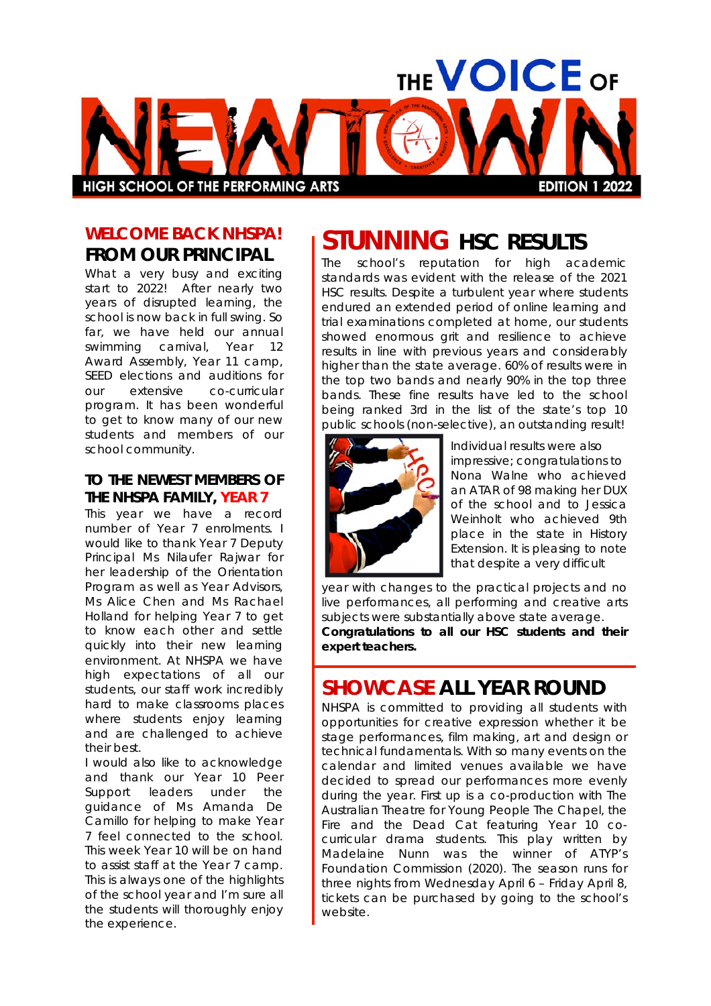

#### **WELCOME BACK NHSPA! FROM OUR PRINCIPAL**

What a very busy and exciting start to 2022! After nearly two years of disrupted learning, the school is now back in full swing. So far, we have held our annual swimming carnival, Year 12 Award Assembly, Year 11 camp, SEED elections and auditions for our extensive co-curricular program. It has been wonderful to get to know many of our new students and members of our school community.

#### **TO THE NEWEST MEMBERS OF THE NHSPA FAMILY, YEAR 7**

This year we have a record number of Year 7 enrolments. I would like to thank Year 7 Deputy Principal Ms Nilaufer Rajwar for her leadership of the Orientation Program as well as Year Advisors, Ms Alice Chen and Ms Rachael Holland for helping Year 7 to get to know each other and settle quickly into their new learning environment. At NHSPA we have high expectations of all our students, our staff work incredibly hard to make classrooms places where students enjoy learning and are challenged to achieve their best.

I would also like to acknowledge and thank our Year 10 Peer Support leaders under the guidance of Ms Amanda De Camillo for helping to make Year 7 feel connected to the school. This week Year 10 will be on hand to assist staff at the Year 7 camp. This is always one of the highlights of the school year and I'm sure all the students will thoroughly enjoy the experience.

### **STUNNING HSC RESULTS**

The school's reputation for high academic standards was evident with the release of the 2021 HSC results. Despite a turbulent year where students endured an extended period of online learning and trial examinations completed at home, our students showed enormous grit and resilience to achieve results in line with previous years and considerably higher than the state average. 60% of results were in the top two bands and nearly 90% in the top three bands. These fine results have led to the school being ranked 3rd in the list of the state's top 10 public schools (non-selective), an outstanding result!



Individual results were also impressive; congratulations to Nona Walne who achieved an ATAR of 98 making her DUX of the school and to Jessica Weinholt who achieved 9th place in the state in History Extension. It is pleasing to note that despite a very difficult

year with changes to the practical projects and no live performances, all performing and creative arts subjects were substantially above state average. **Congratulations to all our HSC students and their expert teachers.**

#### **SHOWCASE ALL YEAR ROUND**

NHSPA is committed to providing all students with opportunities for creative expression whether it be stage performances, film making, art and design or technical fundamentals. With so many events on the calendar and limited venues available we have decided to spread our performances more evenly during the year. First up is a co-production with The Australian Theatre for Young People *The Chapel, the Fire and the Dead Cat* featuring Year 10 cocurricular drama students. This play written by Madelaine Nunn was the winner of ATYP's Foundation Commission (2020). The season runs for three nights from Wednesday April 6 – Friday April 8, tickets can be purchased by going to the school's website.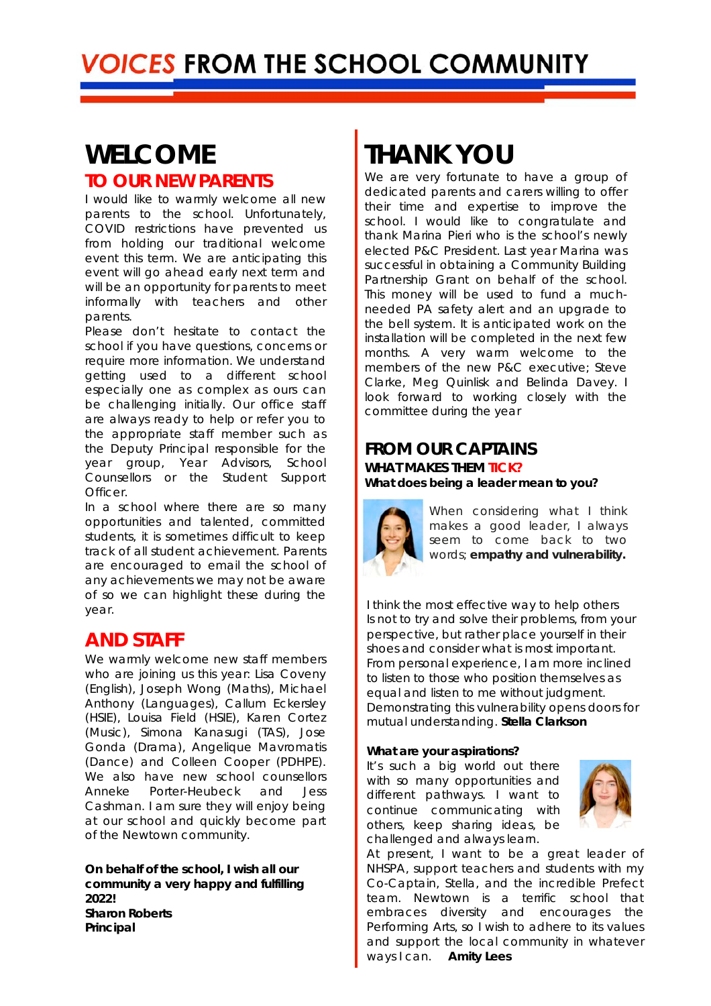#### **WELCOME TO OUR NEW PARENTS**

I would like to warmly welcome all new parents to the school. Unfortunately, COVID restrictions have prevented us from holding our traditional welcome event this term. We are anticipating this event will go ahead early next term and will be an opportunity for parents to meet informally with teachers and other parents.

Please don't hesitate to contact the school if you have questions, concerns or require more information. We understand getting used to a different school especially one as complex as ours can be challenging initially. Our office staff are always ready to help or refer you to the appropriate staff member such as the Deputy Principal responsible for the year group, Year Advisors, School Counsellors or the Student Support Officer.

In a school where there are so many opportunities and talented, committed students, it is sometimes difficult to keep track of all student achievement. Parents are encouraged to email the school of any achievements we may not be aware of so we can highlight these during the year.

#### **AND STAFF**

We warmly welcome new staff members who are joining us this year: Lisa Coveny (English), Joseph Wong (Maths), Michael Anthony (Languages), Callum Eckersley (HSIE), Louisa Field (HSIE), Karen Cortez (Music), Simona Kanasugi (TAS), Jose Gonda (Drama), Angelique Mavromatis (Dance) and Colleen Cooper (PDHPE). We also have new school counsellors Anneke Porter-Heubeck and Jess Cashman. I am sure they will enjoy being at our school and quickly become part of the Newtown community.

*On behalf of the school, I wish all our community a very happy and fulfilling 2022! Sharon Roberts Principal*

## **THANK YOU**

We are very fortunate to have a group of dedicated parents and carers willing to offer their time and expertise to improve the school. I would like to congratulate and thank Marina Pieri who is the school's newly elected P&C President. Last year Marina was successful in obtaining a Community Building Partnership Grant on behalf of the school. This money will be used to fund a muchneeded PA safety alert and an upgrade to the bell system. It is anticipated work on the installation will be completed in the next few months. A very warm welcome to the members of the new P&C executive; Steve Clarke, Meg Quinlisk and Belinda Davey. I look forward to working closely with the committee during the year

#### **FROM OUR CAPTAINS**

**WHAT MAKES THEM** *TICK? What does being a leader mean to you?* 



When considering what I think makes a good leader, I always seem to come back to two words; *empathy and vulnerability.*

I think the most effective way to help others Is not to try and solve their problems, from your perspective, but rather place yourself in their shoes and consider what is most important. From personal experience, I am more inclined to listen to those who position themselves as equal and listen to me without judgment. Demonstrating this vulnerability opens doors for mutual understanding. *Stella Clarkson*

#### *What are your aspirations?*

It's such a big world out there with so many opportunities and different pathways. I want to continue communicating with others, keep sharing ideas, be challenged and always learn.



At present, I want to be a great leader of NHSPA, support teachers and students with my Co-Captain, Stella, and the incredible Prefect team. Newtown is a terrific school that embraces diversity and encourages the Performing Arts, so I wish to adhere to its values and support the local community in whatever ways I can. *Amity Lees*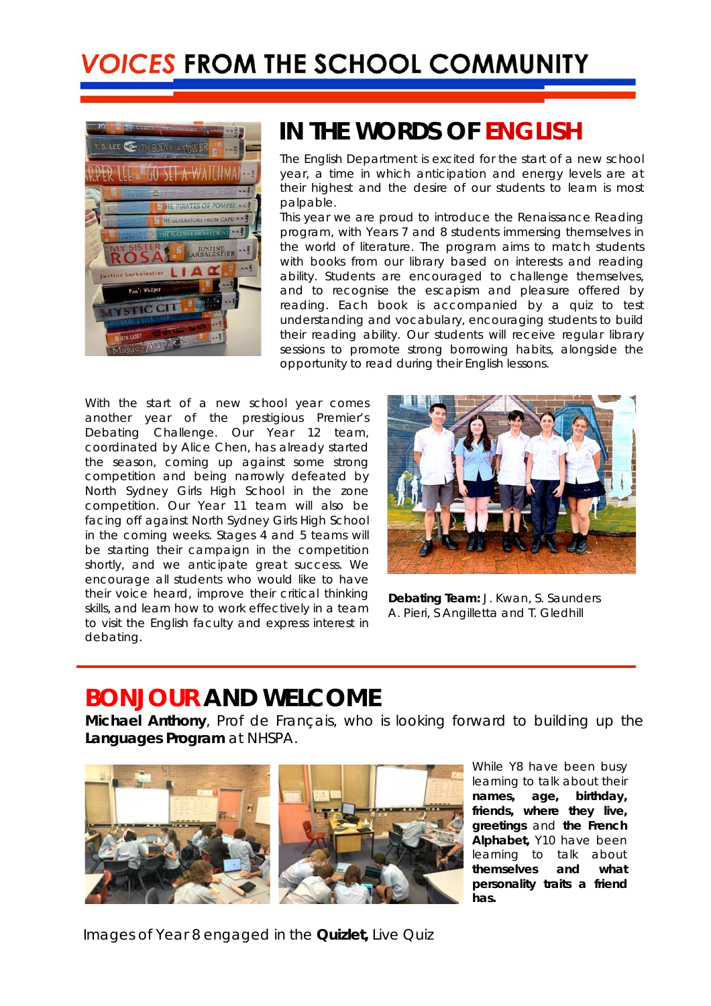

#### **IN THE WORDS OF** *ENGLISH*

The English Department is excited for the start of a new school year, a time in which anticipation and energy levels are at their highest and the desire of our students to learn is most palpable.

This year we are proud to introduce the Renaissance Reading program, with Years 7 and 8 students immersing themselves in the world of literature. The program aims to match students with books from our library based on interests and reading ability. Students are encouraged to challenge themselves, and to recognise the escapism and pleasure offered by reading. Each book is accompanied by a quiz to test understanding and vocabulary, encouraging students to build their reading ability. Our students will receive regular library sessions to promote strong borrowing habits, alongside the opportunity to read during their English lessons.

With the start of a new school year comes another year of the prestigious Premier's Debating Challenge. Our Year 12 team, coordinated by Alice Chen, has already started the season, coming up against some strong competition and being narrowly defeated by North Sydney Girls High School in the zone competition. Our Year 11 team will also be facing off against North Sydney Girls High School in the coming weeks. Stages 4 and 5 teams will be starting their campaign in the competition shortly, and we anticipate great success. We encourage all students who would like to have their voice heard, improve their critical thinking skills, and learn how to work effectively in a team to visit the English faculty and express interest in debating.



**Debating Team:** J. Kwan, S. Saunders A. Pieri, S Angilletta and T. Gledhill

### *BONJOUR* **AND WELCOME**

**Michael Anthony***, Prof de Français,* who is looking forward to building up the **Languages Program** at NHSPA.



While Y8 have been busy learning to talk about their *names, age, birthday, friends, where they live, greetings* and **the French Alphabet,** Y10 have been learning to talk about *themselves and what personality traits a friend has.*

Images of Year 8 engaged in the *Quizlet,* Live Quiz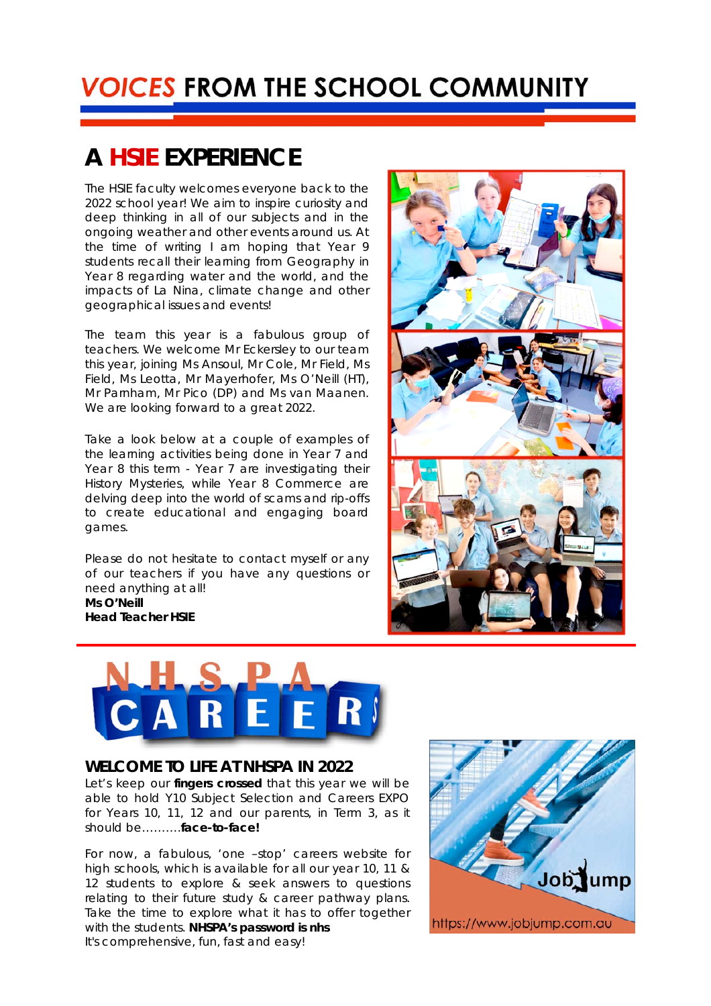### **A** *HSIE* **EXPERIENCE**

The HSIE faculty welcomes everyone back to the 2022 school year! We aim to inspire curiosity and deep thinking in all of our subjects and in the ongoing weather and other events around us. At the time of writing I am hoping that Year 9 students recall their learning from Geography in Year 8 regarding water and the world, and the impacts of La Nina, climate change and other geographical issues and events!

The team this year is a fabulous group of teachers. We welcome Mr Eckersley to our team this year, joining Ms Ansoul, Mr Cole, Mr Field, Ms Field, Ms Leotta, Mr Mayerhofer, Ms O'Neill (HT), Mr Parnham, Mr Pico (DP) and Ms van Maanen. We are looking forward to a great 2022.

Take a look below at a couple of examples of the learning activities being done in Year 7 and Year 8 this term - Year 7 are investigating their History Mysteries, while Year 8 Commerce are delving deep into the world of scams and rip-offs to create educational and engaging board games.

Please do not hesitate to contact myself or any of our teachers if you have any questions or need anything at all! **Ms O'Neill Head Teacher HSIE**



#### **WELCOME TO LIFE AT NHSPA IN 2022**

Let's keep our *fingers crossed* that this year we will be able to hold Y10 Subject Selection and Careers EXPO for Years 10, 11, 12 and our parents, in Term 3, as it should be……….*face-to-face!*

For now, a fabulous, 'one –stop' careers website for high schools, which is available for all our year 10, 11 & 12 students to explore & seek answers to questions relating to their future study & career pathway plans. Take the time to explore what it has to offer together with the students. **NHSPA's password is nhs** It's comprehensive, fun, fast and easy!



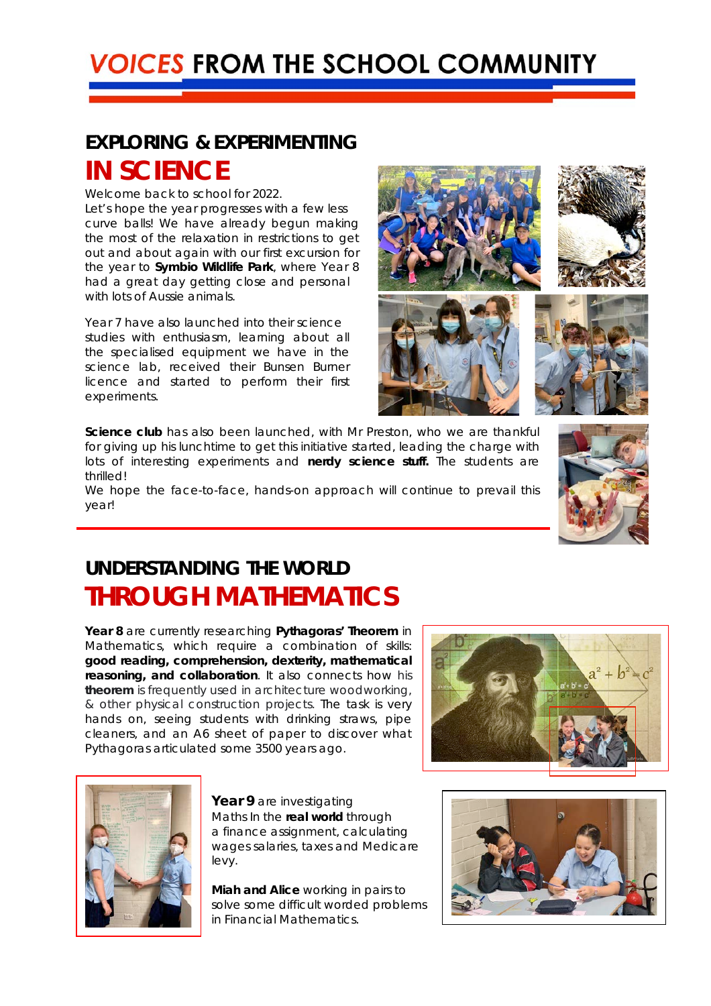### **EXPLORING & EXPERIMENTING IN SCIENCE**

Welcome back to school for 2022.

Let's hope the year progresses with a few less *curve balls*! We have already begun making the most of the relaxation in restrictions to get out and about again with our first excursion for the year to *Symbio Wildlife Park*, where Year 8 had a great day getting close and personal with lots of Aussie animals.

Year 7 have also launched into their science studies with enthusiasm, learning about all the specialised equipment we have in the science lab, received their Bunsen Burner licence and started to perform their first experiments.

*Science club* has also been launched, with Mr Preston, who we are thankful for giving up his lunchtime to get this initiative started, leading the charge with lots of interesting experiments and *nerdy science stuff.* The students are thrilled!

We hope the face-to-face, hands-on approach will continue to prevail this year!

#### **UNDERSTANDING THE WORLD THROUGH MATHEMATICS**

**Year 8** are currently researching *Pythagoras' Theorem* in Mathematics, which require a combination of skills: **good reading, comprehension, dexterity, mathematical reasoning, and collaboration**. It also connects how his *theorem* is frequently used in architecture woodworking, & other physical construction projects. The task is very hands on, seeing students with drinking straws, pipe cleaners, and an A6 sheet of paper to discover what Pythagoras articulated some 3500 years ago.





**Year 9** are investigating Maths In the *real world* through a finance assignment, calculating wages salaries, taxes and Medicare levy.

*Miah and Alice* working in pairs to solve some difficult worded problems in Financial Mathematics.



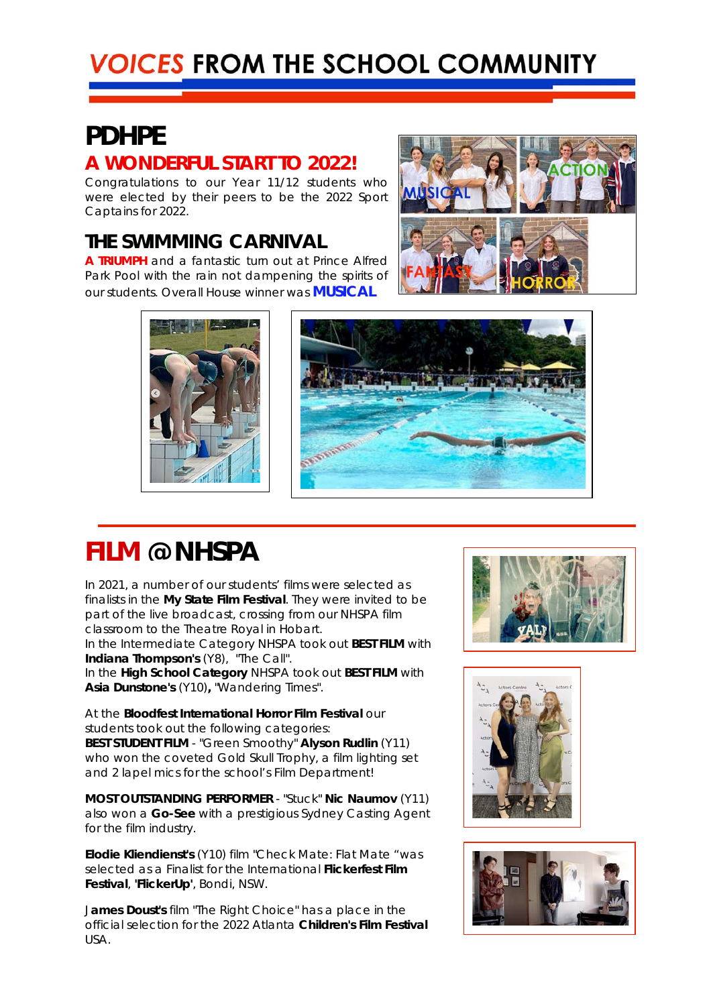### **PDHPE**

#### **A WONDERFUL START TO 2022!**

Congratulations to our Year 11/12 students who were elected by their peers to be the 2022 Sport Captains for 2022.

#### **THE SWIMMING CARNIVAL**

**A TRIUMPH** and a fantastic turn out at Prince Alfred Park Pool with the rain not *dampening* the spirits of our students. Overall House winner was **MUSICAL**







### **FILM @ NHSPA**

In 2021, a number of our students' films were selected as finalists in the *My State Film Festival*. They were invited to be part of the live broadcast, crossing from our NHSPA film classroom to the Theatre Royal in Hobart.

In the Intermediate Category NHSPA took out **BEST FILM** with **Indiana Thompson's** (Y8), "The Call".

In the **High School Category** NHSPA took out **BEST FILM** with **Asia Dunstone's** (Y10)**,** "Wandering Times".

At the *Bloodfest International Horror Film Festival* our students took out the following categories: **BEST STUDENT FILM** - "Green Smoothy" **Alyson Rudlin** (Y11) who won the coveted *Gold Skull* Trophy, a film lighting set and 2 lapel mics for the school's Film Department!

**MOST OUTSTANDING PERFORMER** - "Stuck" **Nic Naumov** (Y11) also won a *Go-See* with a prestigious Sydney Casting Agent for the film industry.

**Elodie Kliendienst's** (Y10) film "Check Mate: Flat Mate "was selected as a Finalist for the International *Flickerfest Film Festival*, **'FlickerUp'**, Bondi, NSW.

J**ames Doust's** film "The Right Choice" has a place in the official selection for the 2022 Atlanta **Children's Film Festival**  USA.





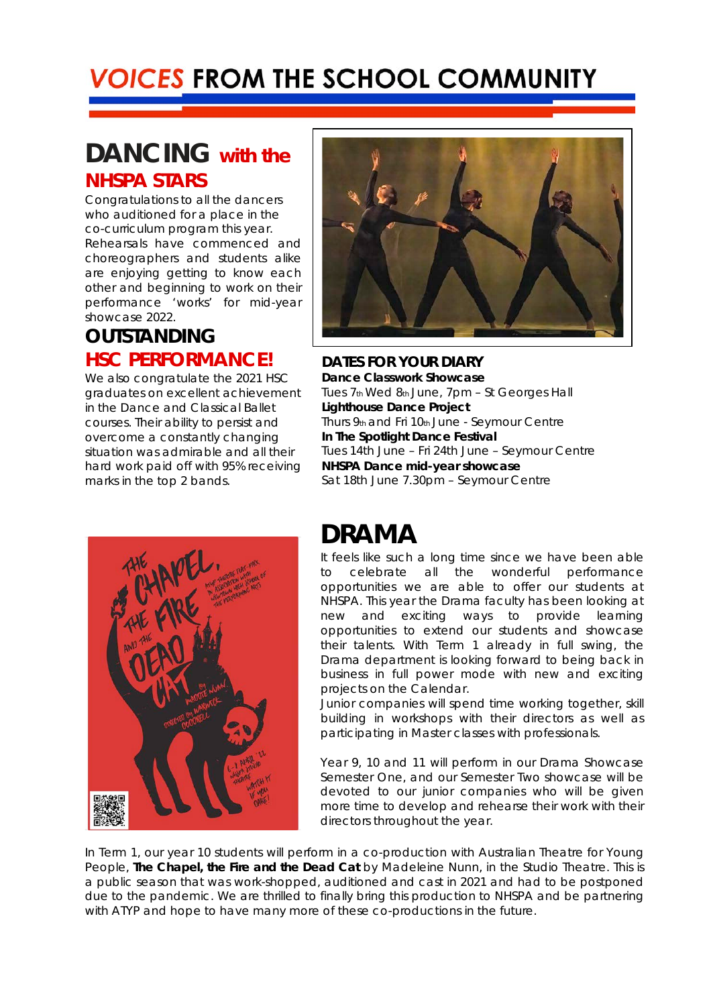### **DANCING with the NHSPA STARS**

Congratulations to all the dancers who auditioned for a place in the co-curriculum program this year. Rehearsals have commenced and choreographers and students alike are enjoying getting to know each other and beginning to work on their performance 'works' for mid-year showcase 2022.

#### **OUTSTANDING HSC PERFORMANCE!**

We also congratulate the 2021 HSC graduates on excellent achievement in the Dance and Classical Ballet courses. Their ability to persist and overcome a constantly changing situation was admirable and all their hard work paid off with 95% receiving marks in the top 2 bands.



**DATES FOR YOUR DIARY Dance Classwork Showcase**  Tues 7th Wed 8th June, 7pm – St Georges Hall **Lighthouse Dance Project**  Thurs 9th and Fri 10th June - Seymour Centre **In The Spotlight Dance Festival**  Tues 14th June – Fri 24th June – Seymour Centre **NHSPA Dance mid-year showcase**  Sat 18th June 7.30pm – Seymour Centre



### **DRAMA**

It feels like such a long time since we have been able to celebrate all the wonderful performance opportunities we are able to offer our students at NHSPA. This year the Drama faculty has been looking at new and exciting ways to provide learning opportunities to extend our students and showcase their talents. With Term 1 already in full swing, the Drama department is looking forward to being back in business in full power mode with new and exciting projects on the Calendar.

Junior companies will spend time working together, skill building in workshops with their directors as well as participating in Master classes with professionals.

Year 9, 10 and 11 will perform in our Drama Showcase Semester One, and our Semester Two showcase will be devoted to our junior companies who will be given more time to develop and rehearse their work with their directors throughout the year.

In Term 1, our year 10 students will perform in a co-production with Australian Theatre for Young People, *The Chapel, the Fire and the Dead Cat* by Madeleine Nunn, in the Studio Theatre. This is a public season that was work-shopped, auditioned and cast in 2021 and had to be postponed due to the pandemic. We are thrilled to finally bring this production to NHSPA and be partnering with ATYP and hope to have many more of these co-productions in the future.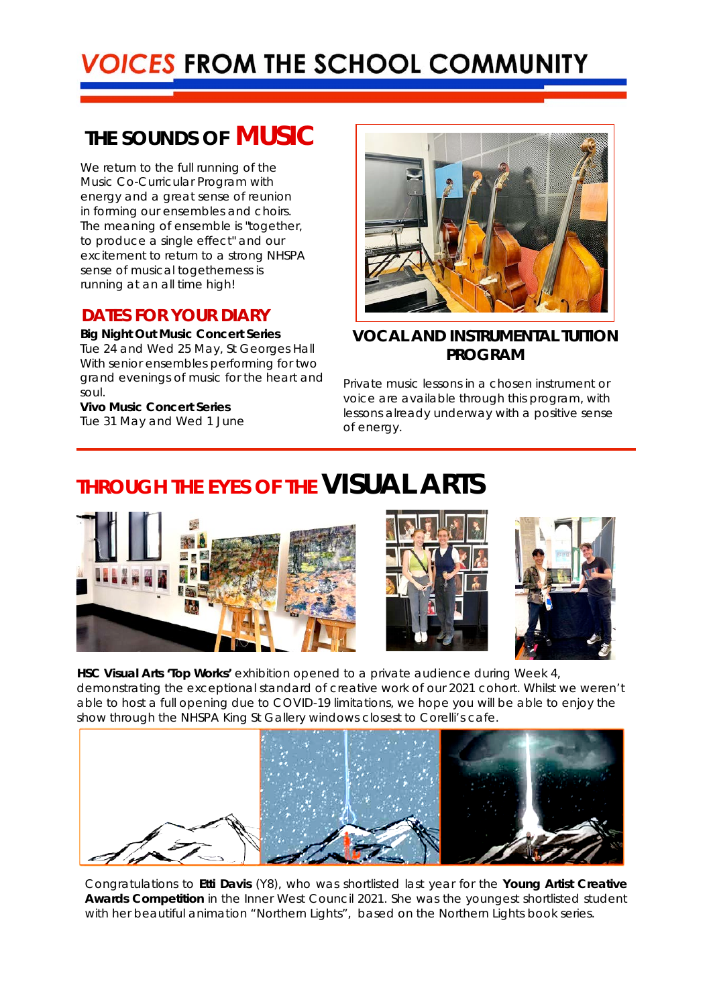#### **THE SOUNDS OF MUSIC**

We return to the full running of the Music Co-Curricular Program with energy and a great sense of reunion in forming our ensembles and choirs. The meaning of ensemble is "together, to produce a single effect" and our excitement to return to a strong NHSPA sense of musical togetherness is running at an all time high!

#### **DATES FOR YOUR DIARY**

 **Big Night Out Music Concert Series** Tue 24 and Wed 25 May, St Georges Hall With senior ensembles performing for two grand evenings of music for the *heart and soul.*

 **Vivo Music Concert Series**  Tue 31 May and Wed 1 June



#### **VOCAL AND INSTRUMENTAL TUITION PROGRAM**

Private music lessons in a chosen instrument or voice are available through this program, with lessons already underway with a positive sense of energy.

### **THROUGH THE EYES OF THE VISUAL ARTS**







 **HSC Visual Arts 'Top Works'** exhibition opened to a private audience during Week 4, demonstrating the exceptional standard of creative work of our 2021 cohort. Whilst we weren't able to host a full opening due to COVID-19 limitations, we hope you will be able to enjoy the show through the NHSPA King St Gallery windows closest to Corelli's cafe.



Congratulations to **Etti Davis** (Y8), who was shortlisted last year for the *Young Artist Creative Awards Competition* in the Inner West Council 2021. She was the youngest shortlisted student with her beautiful animation "Northern Lights", based on the Northern Lights book series.